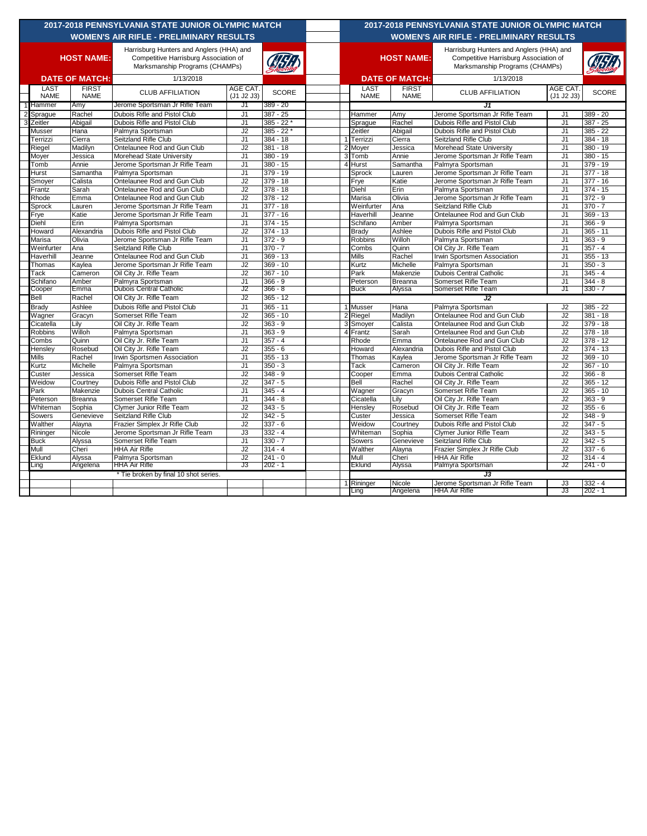| 2017-2018 PENNSYLVANIA STATE JUNIOR OLYMPIC MATCH |                            |                             |                                                                                                                     |                        |                         |  | 2017-2018 PENNSYLVANIA STATE JUNIOR OLYMPIC MATCH |                            |                                                |                                                                                                                     |                        |                          |  |
|---------------------------------------------------|----------------------------|-----------------------------|---------------------------------------------------------------------------------------------------------------------|------------------------|-------------------------|--|---------------------------------------------------|----------------------------|------------------------------------------------|---------------------------------------------------------------------------------------------------------------------|------------------------|--------------------------|--|
| <b>WOMEN'S AIR RIFLE - PRELIMINARY RESULTS</b>    |                            |                             |                                                                                                                     |                        |                         |  |                                                   |                            | <b>WOMEN'S AIR RIFLE - PRELIMINARY RESULTS</b> |                                                                                                                     |                        |                          |  |
| <b>HOST NAME:</b>                                 |                            |                             | Harrisburg Hunters and Anglers (HHA) and<br>Competitive Harrisburg Association of<br>Marksmanship Programs (CHAMPs) |                        |                         |  |                                                   | <b>HOST NAME:</b>          |                                                | Harrisburg Hunters and Anglers (HHA) and<br>Competitive Harrisburg Association of<br>Marksmanship Programs (CHAMPs) |                        |                          |  |
| <b>DATE OF MATCH:</b>                             |                            |                             | 1/13/2018                                                                                                           |                        |                         |  |                                                   |                            | <b>DATE OF MATCH:</b>                          | 1/13/2018                                                                                                           |                        |                          |  |
|                                                   | <b>LAST</b><br><b>NAME</b> | <b>FIRST</b><br><b>NAME</b> | <b>CLUB AFFILIATION</b>                                                                                             | AGE CAT.<br>(J1 J2 J3) | <b>SCORE</b>            |  |                                                   | <b>LAST</b><br><b>NAME</b> | <b>FIRST</b><br><b>NAME</b>                    | <b>CLUB AFFILIATION</b>                                                                                             | AGE CAT.<br>(J1 J2 J3) | <b>SCORE</b>             |  |
|                                                   | Hammer                     | Amy                         | Jerome Sportsman Jr Rifle Team                                                                                      | J1                     | 389 - 20                |  |                                                   |                            |                                                | J1                                                                                                                  |                        |                          |  |
| $\overline{2}$                                    | Sprague                    | Rachel                      | Dubois Rifle and Pistol Club                                                                                        | J1                     | $387 - 25$              |  |                                                   | Hammer                     | Amy                                            | Jerome Sportsman Jr Rifle Team                                                                                      | J1                     | $389 - 20$               |  |
| 3                                                 | Zeitler                    | Abigail                     | Dubois Rifle and Pistol Club                                                                                        | J <sub>1</sub>         | $385 - 22$              |  |                                                   | Sprague                    | Rachel                                         | Dubois Rifle and Pistol Club                                                                                        | J <sub>1</sub>         | $387 - 25$               |  |
|                                                   | Musser                     | Hana                        | Palmyra Sportsman                                                                                                   | J2                     | $385 - 22$              |  |                                                   | Zeitler                    | Abigail                                        | Dubois Rifle and Pistol Club                                                                                        | J <sub>1</sub>         | $385 - 22$               |  |
|                                                   | Terrizzi                   | Cierra                      | Seitzland Rifle Club                                                                                                | J <sub>1</sub>         | $384 - 18$              |  |                                                   | Terrizzi                   | Cierra                                         | Seitzland Rifle Club                                                                                                | J <sub>1</sub>         | 384 - 18                 |  |
|                                                   | Riegel                     | Madilyn                     | Ontelaunee Rod and Gun Club                                                                                         | J2                     | $381 - 18$              |  | 2                                                 | Moyer                      | Jessica                                        | Morehead State University                                                                                           | J <sub>1</sub>         | $380 - 19$               |  |
|                                                   | Moyer                      | Jessica                     | Morehead State University                                                                                           | J1                     | $380 - 19$              |  |                                                   | Tomb                       | Annie                                          | Jerome Sportsman Jr Rifle Team                                                                                      | J1                     | 380 - 15                 |  |
|                                                   | Tomb                       | Annie                       | Jerome Sportsman Jr Rifle Team                                                                                      | J1                     | $380 - 15$              |  |                                                   | Hurst                      | Samantha                                       | Palmyra Sportsman                                                                                                   | J <sub>1</sub>         | 379 - 19                 |  |
|                                                   | Hurst                      | Samantha                    | Palmyra Sportsman                                                                                                   | J1                     | $379 - 19$              |  |                                                   | Sprock                     | Lauren                                         | Jerome Sportsman Jr Rifle Team                                                                                      | J1                     | $377 - 18$               |  |
|                                                   | Smoyer                     | Calista                     | Ontelaunee Rod and Gun Club                                                                                         | J <sub>2</sub>         | $379 - 18$              |  |                                                   | Frye                       | Katie                                          | Jerome Sportsman Jr Rifle Team                                                                                      | J1                     | $377 - 16$               |  |
|                                                   | Frantz                     | Sarah                       | Ontelaunee Rod and Gun Club                                                                                         | J2                     | $378 - 18$              |  |                                                   | Diehl                      | Erin                                           | Palmyra Sportsman                                                                                                   | J <sub>1</sub>         | $374 - 15$               |  |
|                                                   | Rhode                      | Emma                        | Ontelaunee Rod and Gun Club                                                                                         | J2                     | $378 - 12$              |  |                                                   | Marisa                     | Olivia                                         | Jerome Sportsman Jr Rifle Team                                                                                      | J <sub>1</sub>         | $372 - 9$                |  |
|                                                   | Sprock                     | Lauren                      | Jerome Sportsman Jr Rifle Team                                                                                      | J <sub>1</sub>         | $377 - 18$              |  |                                                   | Weinfurter                 | Ana                                            | Seitzland Rifle Club                                                                                                | J <sub>1</sub>         | $370 - 7$                |  |
|                                                   | Frye                       | Katie                       | Jerome Sportsman Jr Rifle Team                                                                                      | J <sub>1</sub>         | $377 - 16$              |  |                                                   | Haverhill                  | Jeanne                                         | Ontelaunee Rod and Gun Club                                                                                         | J <sub>1</sub>         | $369 - 13$               |  |
|                                                   | Diehl                      | Erin                        | Palmyra Sportsman                                                                                                   | J <sub>1</sub>         | $374 - 15$              |  |                                                   | Schifano                   | Amber                                          | Palmyra Sportsman                                                                                                   | J <sub>1</sub>         | $366 - 9$                |  |
|                                                   | Howard                     | Alexandria                  | Dubois Rifle and Pistol Club                                                                                        | J2                     | $374 - 13$              |  |                                                   | Brady                      | Ashlee                                         | Dubois Rifle and Pistol Club                                                                                        | J1                     | $365 - 11$               |  |
|                                                   | Marisa                     | Olivia                      | Jerome Sportsman Jr Rifle Team                                                                                      | J1                     | $372 - 9$               |  |                                                   | <b>Robbins</b>             | Willoh                                         | Palmyra Sportsman                                                                                                   | J1                     | $363 - 9$                |  |
|                                                   | Weinfurter                 | Ana                         | Seitzland Rifle Club                                                                                                | J1                     | $370 - 7$               |  |                                                   | Combs                      | Quinn                                          | Oil City Jr. Rifle Team                                                                                             | J1                     | $357 - 4$                |  |
|                                                   | Haverhill                  | Jeanne                      | Ontelaunee Rod and Gun Club                                                                                         | J1                     | $369 - 13$              |  |                                                   | Mills                      | Rachel                                         | Irwin Sportsmen Association                                                                                         | J1                     | $355 - 13$               |  |
|                                                   | Thomas                     | Kaylea                      | Jerome Sportsman Jr Rifle Team                                                                                      | J <sub>2</sub>         | $369 - 10$              |  |                                                   | Kurtz                      | Michelle                                       | Palmyra Sportsman                                                                                                   | J1                     | $350 - 3$                |  |
|                                                   | Tack                       | Cameron                     | Oil City Jr. Rifle Team                                                                                             | J2                     | $367 - 10$              |  |                                                   | Park                       | Makenzie                                       | <b>Dubois Central Catholic</b>                                                                                      | J1                     | $345 - 4$                |  |
|                                                   | Schifano                   | Amber<br>Emma               | Palmyra Sportsman<br><b>Dubois Central Catholic</b>                                                                 | J1<br>J2               | $366 - 9$<br>366 - 8    |  |                                                   | Peterson<br>Buck           | <b>Breanna</b>                                 | Somerset Rifle Team<br>Somerset Rifle Team                                                                          | J <sub>1</sub><br>J1   | $344 - 8$<br>330 - 7     |  |
|                                                   | Cooper                     |                             |                                                                                                                     |                        |                         |  |                                                   |                            | Alyssa                                         |                                                                                                                     |                        |                          |  |
|                                                   | Bell                       | Rachel                      | Oil City Jr. Rifle Team                                                                                             | J2                     | $365 - 12$              |  |                                                   |                            |                                                | J2                                                                                                                  |                        |                          |  |
|                                                   | <b>Brady</b>               | Ashlee                      | Dubois Rifle and Pistol Club                                                                                        | J1                     | $365 - 11$              |  |                                                   | Musser                     | Hana                                           | Palmyra Sportsman                                                                                                   | J2                     | $385 - 22$               |  |
|                                                   | Wagner                     | Gracyn                      | Somerset Rifle Team                                                                                                 | J2                     | $365 - 10$              |  | 2                                                 | Riegel                     | Madilyn                                        | Ontelaunee Rod and Gun Club                                                                                         | J2                     | $381 - 18$               |  |
|                                                   | Cicatella                  | Lily                        | Oil City Jr. Rifle Team                                                                                             | J2                     | $363 - 9$               |  | Я                                                 | Smoyer                     | Calista                                        | Ontelaunee Rod and Gun Club                                                                                         | J2                     | $379 - 18$               |  |
|                                                   | Robbins                    | Willoh                      | Palmyra Sportsman                                                                                                   | J <sub>1</sub>         | $363 - 9$               |  |                                                   | Frantz                     | Sarah                                          | Ontelaunee Rod and Gun Club                                                                                         | J2                     | $378 - 18$               |  |
|                                                   | Combs                      | Quinn                       | Oil City Jr. Rifle Team                                                                                             | J1                     | $357 - 4$               |  |                                                   | Rhode                      | Emma                                           | Ontelaunee Rod and Gun Club                                                                                         | J2                     | $378 - 12$               |  |
|                                                   | Henslev                    | Rosebud<br>Rachel           | Oil City Jr. Rifle Team                                                                                             | J2                     | 355 - 6                 |  |                                                   | Howard                     | Alexandria                                     | Dubois Rifle and Pistol Club                                                                                        | J2<br>J2               | $374 - 13$<br>$369 - 10$ |  |
|                                                   | <b>Mills</b>               |                             | <b>Irwin Sportsmen Association</b>                                                                                  | J1                     | $355 - 13$<br>$350 - 3$ |  |                                                   | Thomas                     | Kaylea                                         | Jerome Sportsman Jr Rifle Team                                                                                      |                        | 367 - 10                 |  |
|                                                   | Kurtz                      | Michelle                    | Palmyra Sportsman                                                                                                   | J1                     |                         |  |                                                   | Tack                       | Cameron                                        | Oil City Jr. Rifle Team                                                                                             | J2                     |                          |  |
|                                                   | Custer<br>Weidow           | Jessica<br>Courtney         | Somerset Rifle Team<br>Dubois Rifle and Pistol Club                                                                 | J2<br>J2               | $348 - 9$<br>$347 - 5$  |  |                                                   | Cooper<br>Bell             | Emma<br>Rachel                                 | <b>Dubois Central Catholic</b><br>Oil City Jr. Rifle Team                                                           | J2<br>J2               | $366 - 8$<br>$365 - 12$  |  |
|                                                   | Park                       | Makenzie                    | <b>Dubois Central Catholic</b>                                                                                      | J <sub>1</sub>         | $345 - 4$               |  |                                                   | Wagner                     |                                                | Somerset Rifle Team                                                                                                 | J2                     | $365 - 10$               |  |
|                                                   | Peterson                   | Breanna                     | Somerset Rifle Team                                                                                                 | J1                     | $344 - 8$               |  |                                                   | Cicatella                  | Gracyn<br>Lily                                 | Oil City Jr. Rifle Team                                                                                             | J2                     | $363 - 9$                |  |
|                                                   | Whiteman                   | Sophia                      | Clymer Junior Rifle Team                                                                                            | J2                     | $343 - 5$               |  |                                                   | Hensley                    | Rosebud                                        | Oil City Jr. Rifle Team                                                                                             | J2                     | $355 - 6$                |  |
|                                                   | Sowers                     | Genevieve                   | Seitzland Rifle Club                                                                                                | J <sub>2</sub>         | $342 - 5$               |  |                                                   | Custer                     | Jessica                                        | Somerset Rifle Team                                                                                                 | J2                     | $348 - 9$                |  |
|                                                   | Walther                    | Alayna                      | Frazier Simplex Jr Rifle Club                                                                                       | J2                     | 337 - 6                 |  |                                                   | Weidow                     | Courtney                                       | Dubois Rifle and Pistol Club                                                                                        | J2                     | $347 - 5$                |  |
|                                                   | Rininger                   | Nicole                      | Jerome Sportsman Jr Rifle Team                                                                                      | J3                     | $332 - 4$               |  |                                                   | Whiteman                   | Sophia                                         | Clymer Junior Rifle Team                                                                                            | J2                     | $343 - 5$                |  |
|                                                   | <b>Buck</b>                | Alyssa                      | Somerset Rifle Team                                                                                                 | J <sub>1</sub>         | $330 - 7$               |  |                                                   | Sowers                     | Genevieve                                      | Seitzland Rifle Club                                                                                                | J2                     | $342 - 5$                |  |
|                                                   | Mull                       | Cheri                       | <b>HHA Air Rifle</b>                                                                                                | J2                     | $314 - 4$               |  |                                                   | Walther                    | Alayna                                         | Frazier Simplex Jr Rifle Club                                                                                       | J2                     | $337 - 6$                |  |
|                                                   | Eklund                     | Alyssa                      | Palmyra Sportsman                                                                                                   | J2                     | $241 - 0$               |  |                                                   | Mull                       | Cheri                                          | <b>HHA Air Rifle</b>                                                                                                | J2                     | $314 - 4$                |  |
|                                                   | Ling                       | Angelena                    | HHA Air Rifle                                                                                                       | J3                     | 202 - 1                 |  |                                                   | Eklund                     | Alyssa                                         | Palmyra Sportsman                                                                                                   | J2                     | 241 - 0                  |  |
|                                                   |                            |                             | Tie broken by final 10 shot series.                                                                                 |                        |                         |  |                                                   |                            |                                                |                                                                                                                     |                        |                          |  |
|                                                   |                            |                             |                                                                                                                     |                        |                         |  |                                                   | Rininger                   | Nicole                                         | J3<br>Jerome Sportsman Jr Rifle Team                                                                                | J3                     | $332 - 4$                |  |
|                                                   |                            |                             |                                                                                                                     |                        |                         |  |                                                   | Ling                       | Angelena                                       | <b>HHA Air Rifle</b>                                                                                                | J3                     | 202 - 1                  |  |
|                                                   |                            |                             |                                                                                                                     |                        |                         |  |                                                   |                            |                                                |                                                                                                                     |                        |                          |  |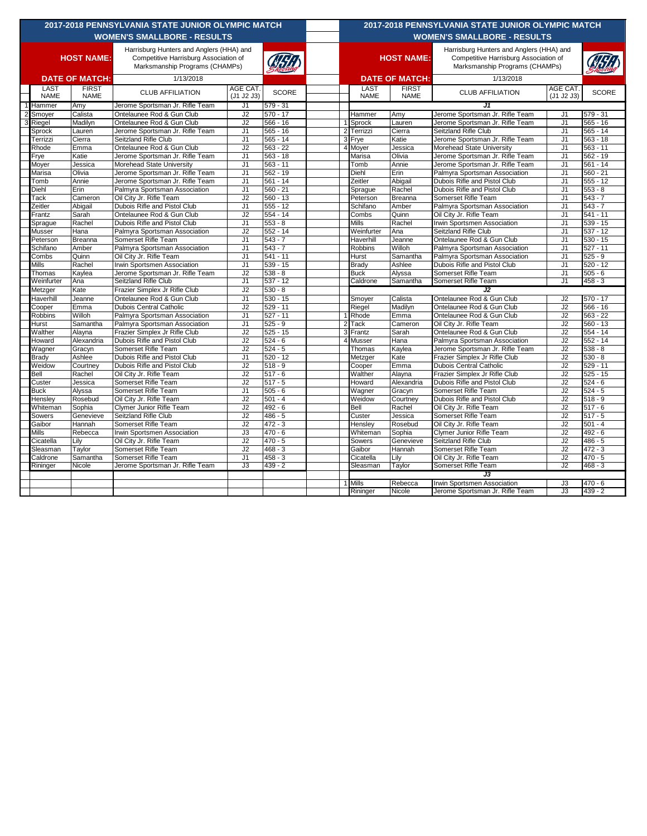| <b>2017-2018 PENNSYLVANIA STATE JUNIOR OLYMPIC MATCH</b><br><b>WOMEN'S SMALLBORE - RESULTS</b>         |                     |                             |                                                                  |                        |                          |  | <b>2017-2018 PENNSYLVANIA STATE JUNIOR OLYMPIC MATCH</b><br><b>WOMEN'S SMALLBORE - RESULTS</b> |                     |                             |                                                                                   |                                  |                          |  |
|--------------------------------------------------------------------------------------------------------|---------------------|-----------------------------|------------------------------------------------------------------|------------------------|--------------------------|--|------------------------------------------------------------------------------------------------|---------------------|-----------------------------|-----------------------------------------------------------------------------------|----------------------------------|--------------------------|--|
| Harrisburg Hunters and Anglers (HHA) and<br><b>HOST NAME:</b><br>Competitive Harrisburg Association of |                     |                             |                                                                  |                        |                          |  | <b>HOST NAME:</b>                                                                              |                     |                             | Harrisburg Hunters and Anglers (HHA) and<br>Competitive Harrisburg Association of |                                  |                          |  |
|                                                                                                        |                     |                             | Marksmanship Programs (CHAMPs)                                   |                        |                          |  |                                                                                                |                     |                             | Marksmanship Programs (CHAMPs)                                                    |                                  |                          |  |
| <b>DATE OF MATCH:</b>                                                                                  |                     |                             | 1/13/2018                                                        |                        |                          |  | <b>DATE OF MATCH:</b>                                                                          |                     |                             | 1/13/2018                                                                         |                                  |                          |  |
|                                                                                                        | LAST<br><b>NAME</b> | <b>FIRST</b><br><b>NAME</b> | <b>CLUB AFFILIATION</b>                                          | AGE CAT.<br>(J1 J2 J3) | <b>SCORE</b>             |  |                                                                                                | LAST<br><b>NAME</b> | <b>FIRST</b><br><b>NAME</b> | <b>CLUB AFFILIATION</b>                                                           | AGE CAT<br>(J1 J2 J3)            | <b>SCORE</b>             |  |
|                                                                                                        | Hammer              | Amy                         | Jerome Sportsman Jr. Rifle Team                                  | J1                     | $579 - 31$               |  |                                                                                                |                     |                             | J1                                                                                |                                  |                          |  |
|                                                                                                        | Smoyer              | Calista                     | Ontelaunee Rod & Gun Club                                        | J2                     | $570 - 17$               |  |                                                                                                | Hammer              | Amy                         | Jerome Sportsman Jr. Rifle Team                                                   | J1                               | $579 - 31$               |  |
|                                                                                                        | Riegel              | Madilyn                     | Ontelaunee Rod & Gun Club                                        | J2                     | $566 - 16$               |  |                                                                                                | Sprock              | Lauren                      | Jerome Sportsman Jr. Rifle Team                                                   | J1                               | $565 - 16$               |  |
|                                                                                                        | Sprock              | Lauren                      | Jerome Sportsman Jr. Rifle Team                                  | J1                     | $565 - 16$               |  | $\overline{2}$                                                                                 | Terrizzi            | Cierra                      | Seitzland Rifle Club                                                              | J1                               | $565 - 14$               |  |
|                                                                                                        | Terrizzi            | Cierra                      | Seitzland Rifle Club                                             | J1                     | $565 - 14$               |  | 3                                                                                              | Frye                | Katie                       | Jerome Sportsman Jr. Rifle Team                                                   | J <sub>1</sub>                   | $563 - 18$               |  |
|                                                                                                        | Rhode               | Emma                        | Ontelaunee Rod & Gun Club                                        | J2                     | $563 - 22$               |  |                                                                                                | Moyer               | Jessica                     | Morehead State University                                                         | J <sub>1</sub>                   | $563 - 11$               |  |
|                                                                                                        | Frye                | Katie                       | Jerome Sportsman Jr. Rifle Team                                  | J1                     | $563 - 18$               |  |                                                                                                | Marisa              | Olivia                      | Jerome Sportsman Jr. Rifle Team                                                   | J <sub>1</sub>                   | $562 - 19$               |  |
|                                                                                                        | Moyer               | Jessica                     | Morehead State University                                        | J1                     | $563 - 11$               |  |                                                                                                | Tomb                | Annie                       | Jerome Sportsman Jr. Rifle Team                                                   | J1                               | $561 - 14$               |  |
|                                                                                                        | Marisa              | Olivia                      | Jerome Sportsman Jr. Rifle Team                                  | J <sub>1</sub>         | $562 - 19$               |  |                                                                                                | Diehl               | Erin                        | Palmyra Sportsman Association                                                     | J <sub>1</sub>                   | $560 - 21$<br>$555 - 12$ |  |
|                                                                                                        | Tomb<br>Diehl       | Annie<br>Erin               | Jerome Sportsman Jr. Rifle Team<br>Palmyra Sportsman Association | J1<br>J <sub>1</sub>   | $561 - 14$<br>$560 - 21$ |  |                                                                                                | Zeitler             | Abigail<br>Rachel           | Dubois Rifle and Pistol Club<br>Dubois Rifle and Pistol Club                      | J <sub>1</sub><br>J <sub>1</sub> | $553 - 8$                |  |
|                                                                                                        | Tack                | Cameron                     | Oil City Jr. Rifle Team                                          | J2                     | $560 - 13$               |  |                                                                                                | Sprague<br>Peterson | Breanna                     | Somerset Rifle Team                                                               | J <sub>1</sub>                   | $543 - 7$                |  |
|                                                                                                        | Zeitler             | Abigail                     | Dubois Rifle and Pistol Club                                     | J <sub>1</sub>         | $555 - 12$               |  |                                                                                                | Schifano            | Amber                       | Palmyra Sportsman Association                                                     | J <sub>1</sub>                   | $543 - 7$                |  |
|                                                                                                        | Frantz              | Sarah                       | Ontelaunee Rod & Gun Club                                        | J2                     | $554 - 14$               |  |                                                                                                | Combs               | Quinn                       | Oil City Jr. Rifle Team                                                           | J1                               | $541 - 11$               |  |
|                                                                                                        | Sprague             | Rachel                      | Dubois Rifle and Pistol Club                                     | J1                     | $553 - 8$                |  |                                                                                                | Mills               | Rachel                      | Irwin Sportsmen Association                                                       | J <sub>1</sub>                   | $539 - 15$               |  |
|                                                                                                        | Musser              | Hana                        | Palmyra Sportsman Association                                    | J2                     | $552 - 14$               |  |                                                                                                | Weinfurter          | Ana                         | Seitzland Rifle Club                                                              | J1                               | $537 - 12$               |  |
|                                                                                                        | Peterson            | Breanna                     | Somerset Rifle Team                                              | J <sub>1</sub>         | $543 - 7$                |  |                                                                                                | Haverhill           | Jeanne                      | Ontelaunee Rod & Gun Club                                                         | J <sub>1</sub>                   | $530 - 15$               |  |
|                                                                                                        | Schifano            | Amber                       | Palmyra Sportsman Association                                    | J1                     | $543 - 7$                |  |                                                                                                | Robbins             | Willoh                      | Palmyra Sportsman Association                                                     | J1                               | $527 - 11$               |  |
|                                                                                                        | Combs               | Quinn                       | Oil City Jr. Rifle Team                                          | J1                     | $541 - 11$               |  |                                                                                                | Hurst               | Samantha                    | Palmyra Sportsman Association                                                     | J <sub>1</sub>                   | $525 - 9$                |  |
|                                                                                                        | Mills               | Rachel                      | Irwin Sportsmen Association                                      | J1                     | $539 - 15$               |  |                                                                                                | Brady               | Ashlee                      | Dubois Rifle and Pistol Club                                                      | J <sub>1</sub>                   | $520 - 12$               |  |
|                                                                                                        | Thomas              | Kaylea                      | Jerome Sportsman Jr. Rifle Team                                  | J2                     | $538 - 8$                |  |                                                                                                | <b>Buck</b>         | Alyssa                      | Somerset Rifle Team                                                               | J <sub>1</sub>                   | $505 - 6$                |  |
|                                                                                                        | Weinfurter          | Ana                         | Seitzland Rifle Club                                             | J <sub>1</sub>         | $537 - 12$               |  |                                                                                                | Caldrone            | Samantha                    | Somerset Rifle Team                                                               | J <sub>1</sub>                   | $458 - 3$                |  |
|                                                                                                        | Metzger             | Kate                        | Frazier Simplex Jr Rifle Club                                    | J2                     | $530 - 8$                |  |                                                                                                |                     |                             | J2                                                                                |                                  |                          |  |
|                                                                                                        | Haverhill           | Jeanne                      | Ontelaunee Rod & Gun Club                                        | J1                     | $530 - 15$               |  |                                                                                                | Smoyer              | Calista                     | Ontelaunee Rod & Gun Club                                                         | J2                               | $570 - 17$               |  |
|                                                                                                        | Cooper              | Emma                        | <b>Dubois Central Catholic</b>                                   | J2                     | $529 - 11$               |  |                                                                                                | Riegel              | Madilyn                     | Ontelaunee Rod & Gun Club                                                         | J2                               | $566 - 16$               |  |
|                                                                                                        | Robbins             | Willoh                      | Palmyra Sportsman Association                                    | J1                     | $527 - 11$               |  |                                                                                                | Rhode               | Emma                        | Ontelaunee Rod & Gun Club                                                         | J2                               | $563 - 22$               |  |
|                                                                                                        | Hurst               | Samantha                    | Palmyra Sportsman Association                                    | J1                     | $525 - 9$                |  | 2                                                                                              | <b>Tack</b>         | Cameron                     | Oil City Jr. Rifle Team                                                           | J2                               | $560 - 13$               |  |
|                                                                                                        | Walther             | Alayna                      | Frazier Simplex Jr Rifle Club                                    | J2                     | $525 - 15$               |  | Я                                                                                              | Frantz              | Sarah                       | Ontelaunee Rod & Gun Club                                                         | J2                               | $554 - 14$               |  |
|                                                                                                        | Howard              | Alexandria                  | Dubois Rifle and Pistol Club                                     | J2                     | $524 - 6$                |  |                                                                                                | Musser              | Hana                        | Palmyra Sportsman Association                                                     | J2                               | $552 - 14$               |  |
|                                                                                                        | Wagner              | Gracyn                      | Somerset Rifle Team                                              | J2                     | $524 - 5$                |  |                                                                                                | Thomas              | Kaylea                      | Jerome Sportsman Jr. Rifle Team                                                   | J <sub>2</sub>                   | $538 - 8$                |  |
|                                                                                                        | <b>Brady</b>        | Ashlee                      | Dubois Rifle and Pistol Club                                     | J1                     | $520 - 12$               |  |                                                                                                | Metzger             | Kate                        | Frazier Simplex Jr Rifle Club                                                     | J2                               | $530 - 8$                |  |
|                                                                                                        | Weidow              | Courtney                    | Dubois Rifle and Pistol Club                                     | J2                     | $518 - 9$                |  |                                                                                                | Cooper              | Emma                        | <b>Dubois Central Catholic</b>                                                    | J2                               | $529 - 11$               |  |
|                                                                                                        | Bell                | Rachel                      | Oil City Jr. Rifle Team                                          | J2                     | $517 - 6$                |  |                                                                                                | Walther             | Alayna                      | Frazier Simplex Jr Rifle Club                                                     | J2                               | $525 - 15$               |  |
|                                                                                                        | Custer              | Jessica                     | Somerset Rifle Team                                              | J2                     | $517 - 5$                |  |                                                                                                | Howard              | Alexandria                  | Dubois Rifle and Pistol Club                                                      | J2                               | $524 - 6$                |  |
|                                                                                                        | <b>Buck</b>         | Alyssa                      | Somerset Rifle Team                                              | J1                     | $505 - 6$                |  |                                                                                                | Wagner              | Gracyn                      | Somerset Rifle Team                                                               | J2                               | $524 - 5$                |  |
|                                                                                                        | Hensley             | Rosebud                     | Oil City Jr. Rifle Team                                          | J2                     | $501 - 4$                |  |                                                                                                | Weidow              | Courtney                    | Dubois Rifle and Pistol Club                                                      | J2                               | $518 - 9$                |  |
|                                                                                                        | Whiteman            | Sophia                      | Clymer Junior Rifle Team                                         | J2                     | $492 - 6$                |  |                                                                                                | Bell                | Rachel                      | Oil City Jr. Rifle Team                                                           | J2                               | $517 - 6$                |  |
|                                                                                                        | Sowers              | Genevieve                   | Seitzland Rifle Club                                             | J2                     | $486 - 5$                |  |                                                                                                | Custer              | Jessica                     | Somerset Rifle Team                                                               | J2                               | $517 - 5$                |  |
|                                                                                                        | Gaibor<br>Mills     | Hannah<br>Rebecca           | Somerset Rifle Team<br>Irwin Sportsmen Association               | J2<br>J3               | $472 - 3$<br>$470 - 6$   |  |                                                                                                | Hensley             | Rosebud<br>Sophia           | Oil City Jr. Rifle Team<br>Clymer Junior Rifle Team                               | J2<br>J2                         | $501 - 4$<br>$492 - 6$   |  |
|                                                                                                        | Cicatella           | Lily                        | Oil City Jr. Rifle Team                                          | J2                     | $470 - 5$                |  |                                                                                                | Whiteman<br>Sowers  | Genevieve                   | Seitzland Rifle Club                                                              | J2                               | $486 - 5$                |  |
|                                                                                                        | Sleasman            | Taylor                      | Somerset Rifle Team                                              | J2                     | $468 - 3$                |  |                                                                                                | Gaibor              | Hannah                      | Somerset Rifle Team                                                               | J2                               | $472 - 3$                |  |
|                                                                                                        | Caldrone            | Samantha                    | Somerset Rifle Team                                              | J <sub>1</sub>         | $458 - 3$                |  |                                                                                                | Cicatella           | Lily                        | Oil City Jr. Rifle Team                                                           | J2                               | $470 - 5$                |  |
|                                                                                                        | Rininger            | Nicole                      | Jerome Sportsman Jr. Rifle Team                                  | J3                     | $439 - 2$                |  |                                                                                                | Sleasman            | Taylor                      | Somerset Rifle Team                                                               | J2                               | $468 - 3$                |  |
|                                                                                                        |                     |                             |                                                                  |                        |                          |  |                                                                                                |                     |                             | J3                                                                                |                                  |                          |  |
|                                                                                                        |                     |                             |                                                                  |                        |                          |  |                                                                                                | Mills               | Rebecca                     | Irwin Sportsmen Association                                                       | J3                               | $470 - 6$                |  |
|                                                                                                        |                     |                             |                                                                  |                        |                          |  |                                                                                                | Rininger            | Nicole                      | Jerome Sportsman Jr. Rifle Team                                                   | J3                               | $439 - 2$                |  |
|                                                                                                        |                     |                             |                                                                  |                        |                          |  |                                                                                                |                     |                             |                                                                                   |                                  |                          |  |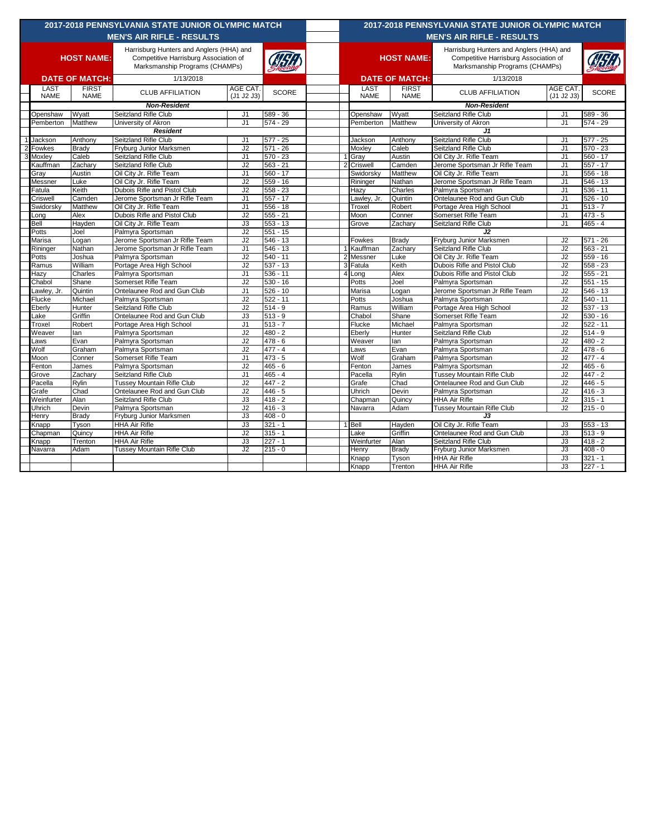| 2017-2018 PENNSYLVANIA STATE JUNIOR OLYMPIC MATCH |                     |                             |                                                                                   |                        |                          |   | 2017-2018 PENNSYLVANIA STATE JUNIOR OLYMPIC MATCH |                             |                                                                                   |                                  |                        |  |  |
|---------------------------------------------------|---------------------|-----------------------------|-----------------------------------------------------------------------------------|------------------------|--------------------------|---|---------------------------------------------------|-----------------------------|-----------------------------------------------------------------------------------|----------------------------------|------------------------|--|--|
| <b>MEN'S AIR RIFLE - RESULTS</b>                  |                     |                             |                                                                                   |                        |                          |   | <b>MEN'S AIR RIFLE - RESULTS</b>                  |                             |                                                                                   |                                  |                        |  |  |
|                                                   |                     |                             |                                                                                   |                        |                          |   |                                                   |                             |                                                                                   |                                  |                        |  |  |
| <b>HOST NAME:</b>                                 |                     |                             | Harrisburg Hunters and Anglers (HHA) and<br>Competitive Harrisburg Association of |                        |                          |   |                                                   | <b>HOST NAME:</b>           | Harrisburg Hunters and Anglers (HHA) and<br>Competitive Harrisburg Association of |                                  |                        |  |  |
|                                                   |                     |                             | Marksmanship Programs (CHAMPs)                                                    |                        |                          |   |                                                   |                             | Marksmanship Programs (CHAMPs)                                                    |                                  |                        |  |  |
|                                                   |                     |                             |                                                                                   |                        |                          |   |                                                   |                             | 1/13/2018                                                                         |                                  |                        |  |  |
| <b>DATE OF MATCH:</b>                             |                     |                             | 1/13/2018                                                                         |                        |                          |   | <b>DATE OF MATCH:</b>                             |                             |                                                                                   |                                  |                        |  |  |
|                                                   | LAST<br><b>NAME</b> | <b>FIRST</b><br><b>NAME</b> | <b>CLUB AFFILIATION</b>                                                           | AGE CAT.<br>(J1 J2 J3) | <b>SCORE</b>             |   | LAST<br><b>NAME</b>                               | <b>FIRST</b><br><b>NAME</b> | <b>CLUB AFFILIATION</b>                                                           | AGE CAT.<br>(J1 J2 J3)           | <b>SCORE</b>           |  |  |
|                                                   | <b>Non-Resident</b> |                             |                                                                                   |                        |                          |   |                                                   | <b>Non-Resident</b>         |                                                                                   |                                  |                        |  |  |
|                                                   | Openshaw            | Wyatt                       | Seitzland Rifle Club                                                              | J1                     | $589 - 36$               |   | Openshaw                                          | Wyatt                       | Seitzland Rifle Club                                                              | J <sub>1</sub>                   | 589 - 36               |  |  |
|                                                   | Pemberton           | Matthew                     | University of Akron                                                               | J <sub>1</sub>         | $574 - 29$               |   | Pemberton                                         | Matthew                     | University of Akron                                                               | J <sub>1</sub>                   | 574 - 29               |  |  |
|                                                   |                     |                             | <b>Resident</b>                                                                   |                        |                          |   |                                                   |                             | J1                                                                                |                                  |                        |  |  |
|                                                   | Jackson             | Anthony                     | Seitzland Rifle Club                                                              | J1                     | $577 - 25$               |   | Jackson                                           | Anthony                     | Seitzland Rifle Club                                                              | J <sub>1</sub>                   | $577 - 25$             |  |  |
|                                                   | Fowkes              | Brady                       | Fryburg Junior Marksmen                                                           | J2                     | $571 - 26$               |   | Moxley                                            | Caleb                       | Seitzland Rifle Club                                                              | J <sub>1</sub>                   | $570 - 23$             |  |  |
|                                                   | Moxley              | Caleb                       | Seitzland Rifle Club                                                              | J1                     | $570 - 23$               |   | Gray                                              | Austin                      | Oil City Jr. Rifle Team                                                           | J1                               | $560 - 17$             |  |  |
|                                                   | Kauffman            | Zachary                     | Seitzland Rifle Club                                                              | J2                     | $563 - 21$               |   | Criswell                                          | Camden                      | Jerome Sportsman Jr Rifle Team                                                    | J <sub>1</sub>                   | $557 - 17$             |  |  |
|                                                   | Gray                | Austin                      | Oil City Jr. Rifle Team                                                           | J <sub>1</sub>         | $560 - 17$               |   | Swidorsky                                         | Matthew                     | Oil City Jr. Rifle Team                                                           | J <sub>1</sub>                   | $556 - 18$             |  |  |
|                                                   | Messner             | Luke                        | Oil City Jr. Rifle Team                                                           | J2                     | $559 - 16$               |   | Rininger                                          | Nathan                      | Jerome Sportsman Jr Rifle Team                                                    | J <sub>1</sub>                   | 546 - 13               |  |  |
|                                                   | Fatula              | Keith                       | Dubois Rifle and Pistol Club                                                      | J2                     | $558 - 23$               |   | Hazy                                              | Charles                     | Palmyra Sportsman                                                                 | J <sub>1</sub>                   | 536 - 11               |  |  |
|                                                   | Criswell            | Camden                      | Jerome Sportsman Jr Rifle Team                                                    | J1                     | $557 - 17$               |   | Lawley, Jr.                                       | Quintin                     | Ontelaunee Rod and Gun Club                                                       | J <sub>1</sub>                   | $526 - 10$             |  |  |
|                                                   | Swidorsky           | Matthew<br>Alex             | Oil City Jr. Rifle Team<br>Dubois Rifle and Pistol Club                           | J1<br>J2               | $556 - 18$<br>$555 - 21$ |   | Troxel<br>Moon                                    | Robert<br>Conner            | Portage Area High School<br>Somerset Rifle Team                                   | J <sub>1</sub><br>J <sub>1</sub> | $513 - 7$<br>$473 - 5$ |  |  |
|                                                   | Long<br>Bell        | Hayden                      | Oil City Jr. Rifle Team                                                           | J3                     | $553 - 13$               |   | Grove                                             | Zachary                     | Seitzland Rifle Club                                                              | J <sub>1</sub>                   | $465 - 4$              |  |  |
|                                                   | Potts               | Joel                        | Palmyra Sportsman                                                                 | J2                     | $551 - 15$               |   |                                                   |                             | J2                                                                                |                                  |                        |  |  |
|                                                   | Marisa              | Logan                       | Jerome Sportsman Jr Rifle Team                                                    | J2                     | $546 - 13$               |   | Fowkes                                            | <b>Brady</b>                | Fryburg Junior Marksmen                                                           | J2                               | 571 - 26               |  |  |
|                                                   | Rininger            | Nathan                      | Jerome Sportsman Jr Rifle Team                                                    | J <sub>1</sub>         | $546 - 13$               |   | Kauffman                                          | Zacharv                     | Seitzland Rifle Club                                                              | J2                               | $563 - 21$             |  |  |
|                                                   | Potts               | Joshua                      | Palmyra Sportsman                                                                 | J2                     | $540 - 11$               |   | 2 Messner                                         | Luke                        | Oil City Jr. Rifle Team                                                           | J2                               | 559 - 16               |  |  |
|                                                   | Ramus               | William                     | Portage Area High School                                                          | J2                     | $537 - 13$               | 3 | Fatula                                            | Keith                       | Dubois Rifle and Pistol Club                                                      | J <sub>2</sub>                   | $558 - 23$             |  |  |
|                                                   | Hazy                | Charles                     | Palmyra Sportsman                                                                 | J1                     | $536 - 11$               |   | Long                                              | Alex                        | Dubois Rifle and Pistol Club                                                      | J2                               | $555 - 21$             |  |  |
|                                                   | Chabol              | Shane                       | Somerset Rifle Team                                                               | J2                     | $530 - 16$               |   | Potts                                             | Joel                        | Palmyra Sportsman                                                                 | J2                               | $551 - 15$             |  |  |
|                                                   | Lawley, Jr.         | Quintin                     | Ontelaunee Rod and Gun Club                                                       | J <sub>1</sub>         | $526 - 10$               |   | Marisa                                            | Logan                       | Jerome Sportsman Jr Rifle Team                                                    | J2                               | 546 - 13               |  |  |
|                                                   | Flucke              | Michael                     | Palmyra Sportsman                                                                 | J2                     | $522 - 11$               |   | Potts                                             | Joshua                      | Palmyra Sportsman                                                                 | J2                               | $540 - 11$             |  |  |
|                                                   | Eberly              | Hunter                      | Seitzland Rifle Club                                                              | J2                     | $514 - 9$                |   | Ramus                                             | William                     | Portage Area High School                                                          | J2                               | $537 - 13$             |  |  |
|                                                   | Lake                | Griffin                     | Ontelaunee Rod and Gun Club                                                       | J3                     | $513 - 9$                |   | Chabol                                            | Shane                       | Somerset Rifle Team                                                               | J2                               | 530 - 16               |  |  |
|                                                   | Troxel              | Robert                      | Portage Area High School                                                          | J <sub>1</sub>         | $513 - 7$                |   | Flucke                                            | Michael                     | Palmyra Sportsman                                                                 | J2                               | $522 - 11$             |  |  |
|                                                   | Weaver              | lan                         | Palmyra Sportsman                                                                 | J2                     | $480 - 2$                |   | Eberly                                            | Hunter                      | Seitzland Rifle Club                                                              | J2                               | $514 - 9$              |  |  |
|                                                   | Laws                | Evan                        | Palmyra Sportsman                                                                 | J2                     | $478 - 6$                |   | Weaver                                            | lan                         | Palmyra Sportsman                                                                 | J2                               | 480 - 2                |  |  |
|                                                   | Wolf                | Graham                      | Palmyra Sportsman                                                                 | J2                     | $477 - 4$                |   | Laws                                              | Evan                        | Palmyra Sportsman                                                                 | J2                               | 478 - 6                |  |  |
|                                                   | Moon                | Conner                      | Somerset Rifle Team                                                               | J <sub>1</sub>         | $473 - 5$                |   | Wolf                                              | Graham                      | Palmyra Sportsman                                                                 | J2                               | $477 - 4$              |  |  |
|                                                   | Fenton              | James                       | Palmyra Sportsman                                                                 | J2                     | $465 - 6$                |   | Fenton                                            | James                       | Palmyra Sportsman                                                                 | J2                               | $465 - 6$              |  |  |
|                                                   | Grove               | Zacharv                     | Seitzland Rifle Club                                                              | J <sub>1</sub>         | $465 - 4$                |   | Pacella                                           | Rvlin                       | Tussey Mountain Rifle Club                                                        | J2                               | $447 - 2$              |  |  |
|                                                   | Pacella             | Rylin                       | <b>Tussey Mountain Rifle Club</b>                                                 | J2                     | $447 - 2$                |   | Grafe                                             | Chad                        | Ontelaunee Rod and Gun Club                                                       | J2                               | 446 - 5                |  |  |
|                                                   | Grafe               | Chad                        | Ontelaunee Rod and Gun Club                                                       | J2                     | $446 - 5$                |   | Uhrich                                            | Devin                       | Palmyra Sportsman                                                                 | J2                               | $416 - 3$              |  |  |
|                                                   | Weinfurter          | Alan                        | Seitzland Rifle Club                                                              | J3                     | $418 - 2$                |   | Chapman                                           | Quincy                      | <b>HHA Air Rifle</b>                                                              | J2                               | $315 - 1$              |  |  |
|                                                   | Uhrich              | Devin                       | Palmyra Sportsman                                                                 | J2                     | $416 - 3$                |   | Navarra                                           | Adam                        | <b>Tussey Mountain Rifle Club</b>                                                 | J2                               | $215 - 0$              |  |  |
|                                                   | Henry               | <b>Brady</b>                | Fryburg Junior Marksmen                                                           | J3                     | $408 - 0$                |   |                                                   |                             | J3                                                                                |                                  |                        |  |  |
|                                                   | Knapp               | Tyson                       | <b>HHA Air Rifle</b>                                                              | J3                     | $321 - 1$                |   | Bell                                              | Hayden                      | Oil City Jr. Rifle Team                                                           | J3                               | $553 - 13$             |  |  |
|                                                   | Chapman             | Quincy                      | <b>HHA Air Rifle</b>                                                              | J2                     | $315 - 1$                |   | Lake                                              | Griffin                     | Ontelaunee Rod and Gun Club                                                       | J3                               | $513 - 9$              |  |  |
|                                                   | Knapp               | Trenton                     | <b>HHA Air Rifle</b>                                                              | J3                     | $227 - 1$                |   | Weinfurter                                        | Alan                        | Seitzland Rifle Club                                                              | J3                               | $418 - 2$              |  |  |
|                                                   | Navarra             | Adam                        | Tussey Mountain Rifle Club                                                        | J2                     | $215 - 0$                |   | Henry                                             | Brady                       | Fryburg Junior Marksmen                                                           | J3                               | $408 - 0$              |  |  |
|                                                   |                     |                             |                                                                                   |                        |                          |   | Knapp                                             | Tyson                       | <b>HHA Air Rifle</b>                                                              | J3                               | $321 - 1$              |  |  |
|                                                   |                     |                             |                                                                                   |                        |                          |   | Knapp                                             | Trenton                     | <b>HHA Air Rifle</b>                                                              | J3                               | $227 - 1$              |  |  |